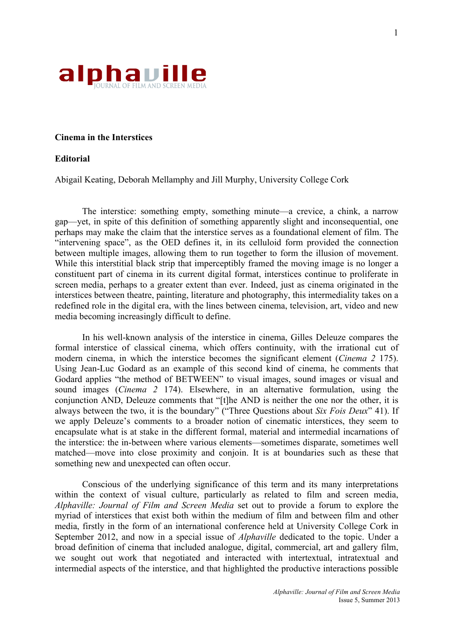

## **Cinema in the Interstices**

## **Editorial**

Abigail Keating, Deborah Mellamphy and Jill Murphy, University College Cork

The interstice: something empty, something minute—a crevice, a chink, a narrow gap—yet, in spite of this definition of something apparently slight and inconsequential, one perhaps may make the claim that the interstice serves as a foundational element of film. The "intervening space", as the OED defines it, in its celluloid form provided the connection between multiple images, allowing them to run together to form the illusion of movement. While this interstitial black strip that imperceptibly framed the moving image is no longer a constituent part of cinema in its current digital format, interstices continue to proliferate in screen media, perhaps to a greater extent than ever. Indeed, just as cinema originated in the interstices between theatre, painting, literature and photography, this intermediality takes on a redefined role in the digital era, with the lines between cinema, television, art, video and new media becoming increasingly difficult to define.

In his well-known analysis of the interstice in cinema, Gilles Deleuze compares the formal interstice of classical cinema, which offers continuity, with the irrational cut of modern cinema, in which the interstice becomes the significant element (*Cinema 2* 175). Using Jean-Luc Godard as an example of this second kind of cinema, he comments that Godard applies "the method of BETWEEN" to visual images, sound images or visual and sound images (*Cinema 2* 174). Elsewhere, in an alternative formulation, using the conjunction AND, Deleuze comments that "[t]he AND is neither the one nor the other, it is always between the two, it is the boundary" ("Three Questions about *Six Fois Deux*" 41). If we apply Deleuze's comments to a broader notion of cinematic interstices, they seem to encapsulate what is at stake in the different formal, material and intermedial incarnations of the interstice: the in-between where various elements—sometimes disparate, sometimes well matched—move into close proximity and conjoin. It is at boundaries such as these that something new and unexpected can often occur.

Conscious of the underlying significance of this term and its many interpretations within the context of visual culture, particularly as related to film and screen media, *Alphaville: Journal of Film and Screen Media* set out to provide a forum to explore the myriad of interstices that exist both within the medium of film and between film and other media, firstly in the form of an international conference held at University College Cork in September 2012, and now in a special issue of *Alphaville* dedicated to the topic. Under a broad definition of cinema that included analogue, digital, commercial, art and gallery film, we sought out work that negotiated and interacted with intertextual, intratextual and intermedial aspects of the interstice, and that highlighted the productive interactions possible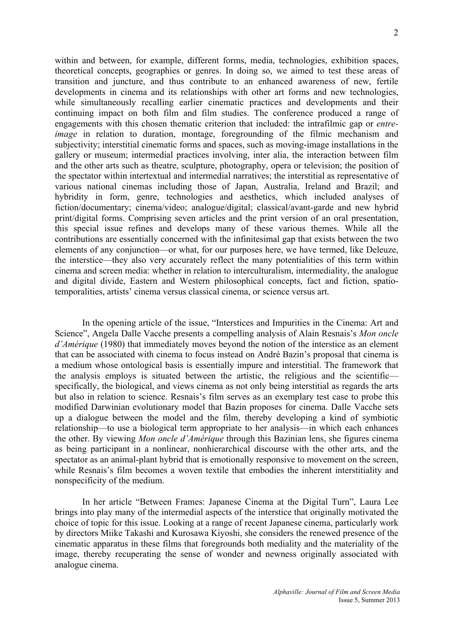within and between, for example, different forms, media, technologies, exhibition spaces, theoretical concepts, geographies or genres. In doing so, we aimed to test these areas of transition and juncture, and thus contribute to an enhanced awareness of new, fertile developments in cinema and its relationships with other art forms and new technologies, while simultaneously recalling earlier cinematic practices and developments and their continuing impact on both film and film studies. The conference produced a range of engagements with this chosen thematic criterion that included: the intrafilmic gap or *entreimage* in relation to duration, montage, foregrounding of the filmic mechanism and subjectivity; interstitial cinematic forms and spaces, such as moving-image installations in the gallery or museum; intermedial practices involving, inter alia, the interaction between film and the other arts such as theatre, sculpture, photography, opera or television; the position of the spectator within intertextual and intermedial narratives; the interstitial as representative of various national cinemas including those of Japan, Australia, Ireland and Brazil; and hybridity in form, genre, technologies and aesthetics, which included analyses of fiction/documentary; cinema/video; analogue/digital; classical/avant-garde and new hybrid print/digital forms. Comprising seven articles and the print version of an oral presentation, this special issue refines and develops many of these various themes. While all the contributions are essentially concerned with the infinitesimal gap that exists between the two elements of any conjunction—or what, for our purposes here, we have termed, like Deleuze, the interstice—they also very accurately reflect the many potentialities of this term within cinema and screen media: whether in relation to interculturalism, intermediality, the analogue and digital divide, Eastern and Western philosophical concepts, fact and fiction, spatiotemporalities, artists' cinema versus classical cinema, or science versus art.

In the opening article of the issue, "Interstices and Impurities in the Cinema: Art and Science", Angela Dalle Vacche presents a compelling analysis of Alain Resnais's *Mon oncle d'Amérique* (1980) that immediately moves beyond the notion of the interstice as an element that can be associated with cinema to focus instead on André Bazin's proposal that cinema is a medium whose ontological basis is essentially impure and interstitial. The framework that the analysis employs is situated between the artistic, the religious and the scientific specifically, the biological, and views cinema as not only being interstitial as regards the arts but also in relation to science. Resnais's film serves as an exemplary test case to probe this modified Darwinian evolutionary model that Bazin proposes for cinema. Dalle Vacche sets up a dialogue between the model and the film, thereby developing a kind of symbiotic relationship—to use a biological term appropriate to her analysis—in which each enhances the other. By viewing *Mon oncle d'Amérique* through this Bazinian lens, she figures cinema as being participant in a nonlinear, nonhierarchical discourse with the other arts, and the spectator as an animal-plant hybrid that is emotionally responsive to movement on the screen, while Resnais's film becomes a woven textile that embodies the inherent interstitiality and nonspecificity of the medium.

In her article "Between Frames: Japanese Cinema at the Digital Turn", Laura Lee brings into play many of the intermedial aspects of the interstice that originally motivated the choice of topic for this issue. Looking at a range of recent Japanese cinema, particularly work by directors Miike Takashi and Kurosawa Kiyoshi, she considers the renewed presence of the cinematic apparatus in these films that foregrounds both mediality and the materiality of the image, thereby recuperating the sense of wonder and newness originally associated with analogue cinema.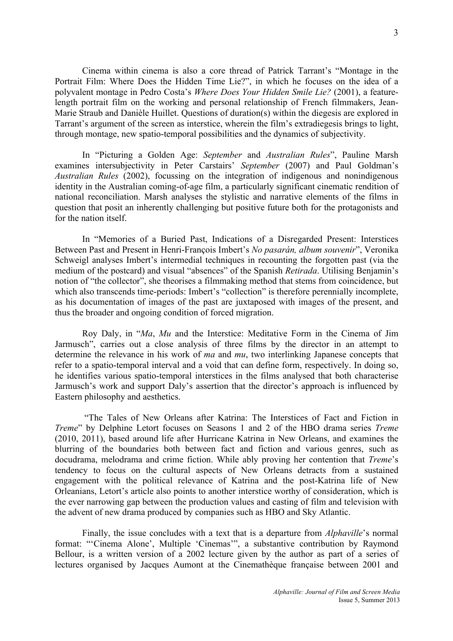Cinema within cinema is also a core thread of Patrick Tarrant's "Montage in the Portrait Film: Where Does the Hidden Time Lie?", in which he focuses on the idea of a polyvalent montage in Pedro Costa's *Where Does Your Hidden Smile Lie?* (2001), a featurelength portrait film on the working and personal relationship of French filmmakers, Jean-Marie Straub and Danièle Huillet. Questions of duration(s) within the diegesis are explored in Tarrant's argument of the screen as interstice, wherein the film's extradiegesis brings to light, through montage, new spatio-temporal possibilities and the dynamics of subjectivity.

In "Picturing a Golden Age: *September* and *Australian Rules*", Pauline Marsh examines intersubjectivity in Peter Carstairs' *September* (2007) and Paul Goldman's *Australian Rules* (2002), focussing on the integration of indigenous and nonindigenous identity in the Australian coming-of-age film, a particularly significant cinematic rendition of national reconciliation. Marsh analyses the stylistic and narrative elements of the films in question that posit an inherently challenging but positive future both for the protagonists and for the nation itself.

In "Memories of a Buried Past, Indications of a Disregarded Present: Interstices Between Past and Present in Henri-François Imbert's *No pasarán, album souvenir*", Veronika Schweigl analyses Imbert's intermedial techniques in recounting the forgotten past (via the medium of the postcard) and visual "absences" of the Spanish *Retirada*. Utilising Benjamin's notion of "the collector", she theorises a filmmaking method that stems from coincidence, but which also transcends time-periods: Imbert's "collection" is therefore perennially incomplete, as his documentation of images of the past are juxtaposed with images of the present, and thus the broader and ongoing condition of forced migration.

Roy Daly, in "*Ma*, *Mu* and the Interstice: Meditative Form in the Cinema of Jim Jarmusch", carries out a close analysis of three films by the director in an attempt to determine the relevance in his work of *ma* and *mu*, two interlinking Japanese concepts that refer to a spatio-temporal interval and a void that can define form, respectively. In doing so, he identifies various spatio-temporal interstices in the films analysed that both characterise Jarmusch's work and support Daly's assertion that the director's approach is influenced by Eastern philosophy and aesthetics.

"The Tales of New Orleans after Katrina: The Interstices of Fact and Fiction in *Treme*" by Delphine Letort focuses on Seasons 1 and 2 of the HBO drama series *Treme*  (2010, 2011), based around life after Hurricane Katrina in New Orleans, and examines the blurring of the boundaries both between fact and fiction and various genres, such as docudrama, melodrama and crime fiction. While ably proving her contention that *Treme*'s tendency to focus on the cultural aspects of New Orleans detracts from a sustained engagement with the political relevance of Katrina and the post-Katrina life of New Orleanians, Letort's article also points to another interstice worthy of consideration, which is the ever narrowing gap between the production values and casting of film and television with the advent of new drama produced by companies such as HBO and Sky Atlantic.

Finally, the issue concludes with a text that is a departure from *Alphaville*'s normal format: "'Cinema Alone', Multiple 'Cinemas'", a substantive contribution by Raymond Bellour, is a written version of a 2002 lecture given by the author as part of a series of lectures organised by Jacques Aumont at the Cinemathèque française between 2001 and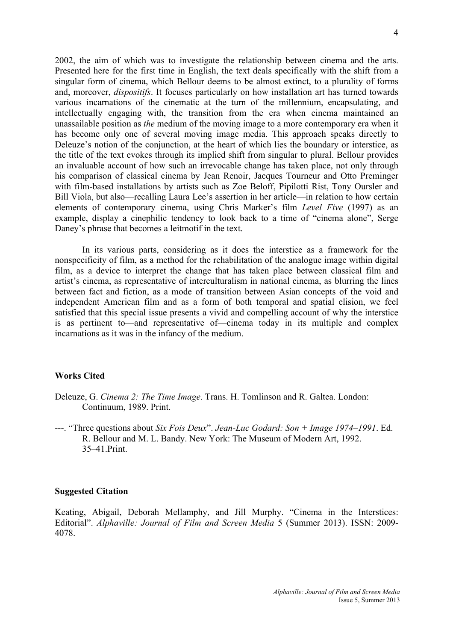2002, the aim of which was to investigate the relationship between cinema and the arts. Presented here for the first time in English, the text deals specifically with the shift from a singular form of cinema, which Bellour deems to be almost extinct, to a plurality of forms and, moreover, *dispositifs*. It focuses particularly on how installation art has turned towards various incarnations of the cinematic at the turn of the millennium, encapsulating, and intellectually engaging with, the transition from the era when cinema maintained an unassailable position as *the* medium of the moving image to a more contemporary era when it has become only one of several moving image media. This approach speaks directly to Deleuze's notion of the conjunction, at the heart of which lies the boundary or interstice, as the title of the text evokes through its implied shift from singular to plural. Bellour provides an invaluable account of how such an irrevocable change has taken place, not only through his comparison of classical cinema by Jean Renoir, Jacques Tourneur and Otto Preminger with film-based installations by artists such as Zoe Beloff, Pipilotti Rist, Tony Oursler and Bill Viola, but also—recalling Laura Lee's assertion in her article—in relation to how certain elements of contemporary cinema, using Chris Marker's film *Level Five* (1997) as an example, display a cinephilic tendency to look back to a time of "cinema alone", Serge Daney's phrase that becomes a leitmotif in the text.

In its various parts, considering as it does the interstice as a framework for the nonspecificity of film, as a method for the rehabilitation of the analogue image within digital film, as a device to interpret the change that has taken place between classical film and artist's cinema, as representative of interculturalism in national cinema, as blurring the lines between fact and fiction, as a mode of transition between Asian concepts of the void and independent American film and as a form of both temporal and spatial elision, we feel satisfied that this special issue presents a vivid and compelling account of why the interstice is as pertinent to—and representative of—cinema today in its multiple and complex incarnations as it was in the infancy of the medium.

## **Works Cited**

- Deleuze, G. *Cinema 2: The Time Image*. Trans. H. Tomlinson and R. Galtea. London: Continuum, 1989. Print.
- ---. "Three questions about *Six Fois Deux*". *Jean-Luc Godard: Son + Image 1974–1991*. Ed. R. Bellour and M. L. Bandy. New York: The Museum of Modern Art, 1992. 35–41.Print.

## **Suggested Citation**

Keating, Abigail, Deborah Mellamphy, and Jill Murphy. "Cinema in the Interstices: Editorial". *Alphaville: Journal of Film and Screen Media* 5 (Summer 2013). ISSN: 2009- 4078.